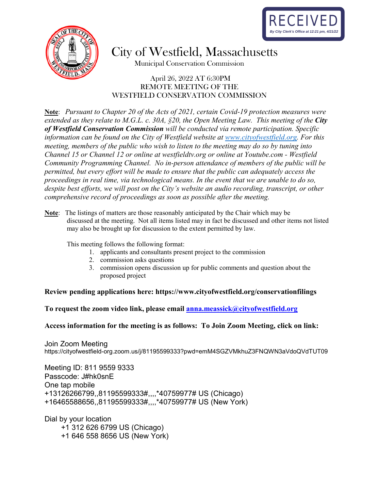



City of Westfield, Massachusetts

Municipal Conservation Commission

#### April 26, 2022 AT 6:30PM REMOTE MEETING OF THE WESTFIELD CONSERVATION COMMISSION

**Note**: *Pursuant to Chapter 20 of the Acts of 2021, certain Covid-19 protection measures were extended as they relate to M.G.L. c. 30A, §20, the Open Meeting Law. This meeting of the City of Westfield Conservation Commission will be conducted via remote participation. Specific information can be found on the City of Westfield website at [www.cityofwestfield.org.](http://www.cityofwestfield.org/) For this meeting, members of the public who wish to listen to the meeting may do so by tuning into Channel 15 or Channel 12 or online at westfieldtv.org or online at Youtube.com - Westfield Community Programming Channel. No in-person attendance of members of the public will be permitted, but every effort will be made to ensure that the public can adequately access the proceedings in real time, via technological means. In the event that we are unable to do so, despite best efforts, we will post on the City's website an audio recording, transcript, or other comprehensive record of proceedings as soon as possible after the meeting.* 

This meeting follows the following format:

- 1. applicants and consultants present project to the commission
- 2. commission asks questions
- 3. commission opens discussion up for public comments and question about the proposed project

#### **Review pending applications here:<https://www.cityofwestfield.org/conservationfilings>**

**To request the zoom video link, please email [anna.meassick@cityofwestfield.org](mailto:anna.meassick@cityofwestfield.org)** 

#### **Access information for the meeting is as follows: To Join Zoom Meeting, click on link:**

Join Zoom Meeting https://cityofwestfield-org.zoom.us/j/81195599333?pwd=emM4SGZVMkhuZ3FNQWN3aVdoQVdTUT09

Meeting ID: 811 9559 9333 Passcode: J#hk0snE One tap mobile +13126266799,,81195599333#,,,,\*40759977# US (Chicago) +16465588656,,81195599333#,,,,\*40759977# US (New York)

Dial by your location +1 312 626 6799 US (Chicago) +1 646 558 8656 US (New York)

**Note**: The listings of matters are those reasonably anticipated by the Chair which may be discussed at the meeting. Not all items listed may in fact be discussed and other items not listed may also be brought up for discussion to the extent permitted by law.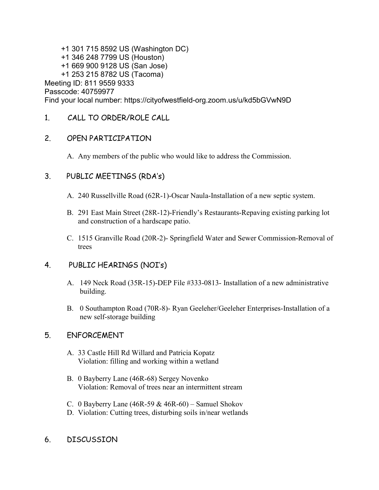+1 301 715 8592 US (Washington DC) +1 346 248 7799 US (Houston) +1 669 900 9128 US (San Jose) +1 253 215 8782 US (Tacoma) Meeting ID: 811 9559 9333 Passcode: 40759977 Find your local number: https://cityofwestfield-org.zoom.us/u/kd5bGVwN9D

1. CALL TO ORDER/ROLE CALL

## 2. OPEN PARTICIPATION

A. Any members of the public who would like to address the Commission.

# 3. PUBLIC MEETINGS (RDA's)

- A. 240 Russellville Road (62R-1)-Oscar Naula-Installation of a new septic system.
- B. 291 East Main Street (28R-12)-Friendly's Restaurants-Repaving existing parking lot and construction of a hardscape patio.
- C. 1515 Granville Road (20R-2)- Springfield Water and Sewer Commission-Removal of trees

# 4. PUBLIC HEARINGS (NOI's)

- A. 149 Neck Road (35R-15)-DEP File #333-0813- Installation of a new administrative building.
- B. 0 Southampton Road (70R-8)- Ryan Geeleher/Geeleher Enterprises-Installation of a new self-storage building

# 5. ENFORCEMENT

- A. 33 Castle Hill Rd Willard and Patricia Kopatz Violation: filling and working within a wetland
- B. 0 Bayberry Lane (46R-68) Sergey Novenko Violation: Removal of trees near an intermittent stream
- C. 0 Bayberry Lane  $(46R-59 \& 46R-60)$  Samuel Shokov
- D. Violation: Cutting trees, disturbing soils in/near wetlands
- 6. DISCUSSION